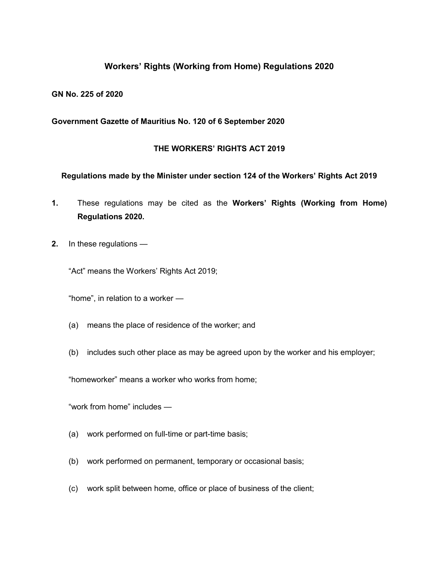# **Workers' Rights (Working from Home) Regulations 2020**

### **GN No. 225 of 2020**

### **Government Gazette of Mauritius No. 120 of 6 September 2020**

### **THE WORKERS' RIGHTS ACT 2019**

#### **Regulations made by the Minister under section 124 of the Workers' Rights Act 2019**

- **1.** These regulations may be cited as the **Workers' Rights (Working from Home) Regulations 2020.**
- **2.** In these regulations —

"Act" means the Workers' Rights Act 2019;

"home", in relation to a worker —

- (a) means the place of residence of the worker; and
- (b) includes such other place as may be agreed upon by the worker and his employer;

"homeworker" means a worker who works from home;

"work from home" includes —

- (a) work performed on full-time or part-time basis;
- (b) work performed on permanent, temporary or occasional basis;
- (c) work split between home, office or place of business of the client;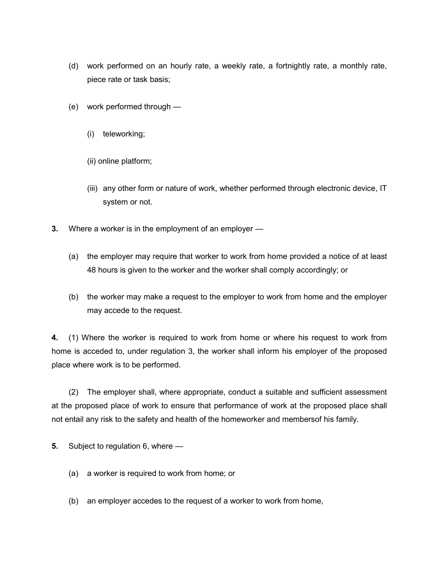- (d) work performed on an hourly rate, a weekly rate, a fortnightly rate, a monthly rate, piece rate or task basis;
- (e) work performed through
	- (i) teleworking;
	- (ii) online platform;
	- (iii) any other form or nature of work, whether performed through electronic device, IT system or not.
- **3.** Where a worker is in the employment of an employer
	- (a) the employer may require that worker to work from home provided a notice of at least 48 hours is given to the worker and the worker shall comply accordingly; or
	- (b) the worker may make a request to the employer to work from home and the employer may accede to the request.

**4.** (1) Where the worker is required to work from home or where his request to work from home is acceded to, under regulation 3, the worker shall inform his employer of the proposed place where work is to be performed.

(2) The employer shall, where appropriate, conduct a suitable and sufficient assessment at the proposed place of work to ensure that performance of work at the proposed place shall not entail any risk to the safety and health of the homeworker and membersof his family.

- **5.** Subject to regulation 6, where
	- (a) a worker is required to work from home; or
	- (b) an employer accedes to the request of a worker to work from home,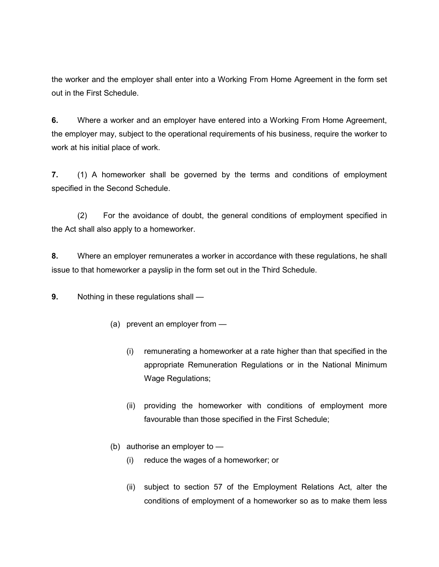the worker and the employer shall enter into a Working From Home Agreement in the form set out in the First Schedule.

**6.** Where a worker and an employer have entered into a Working From Home Agreement, the employer may, subject to the operational requirements of his business, require the worker to work at his initial place of work.

**7.** (1) A homeworker shall be governed by the terms and conditions of employment specified in the Second Schedule.

(2) For the avoidance of doubt, the general conditions of employment specified in the Act shall also apply to a homeworker.

**8.** Where an employer remunerates a worker in accordance with these regulations, he shall issue to that homeworker a payslip in the form set out in the Third Schedule.

**9.** Nothing in these regulations shall —

- (a) prevent an employer from
	- (i) remunerating a homeworker at a rate higher than that specified in the appropriate Remuneration Regulations or in the National Minimum Wage Regulations;
	- (ii) providing the homeworker with conditions of employment more favourable than those specified in the First Schedule;
- (b) authorise an employer to
	- (i) reduce the wages of a homeworker; or
	- (ii) subject to section 57 of the Employment Relations Act, alter the conditions of employment of a homeworker so as to make them less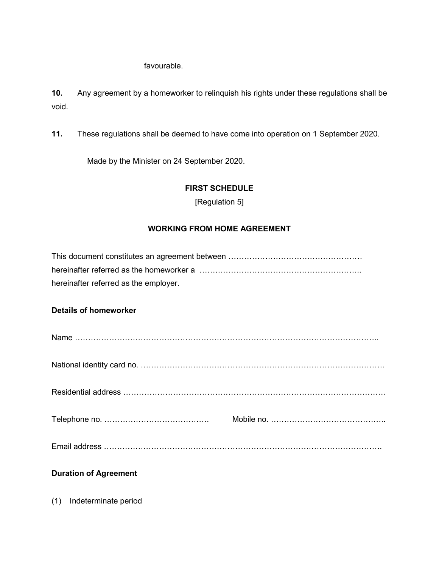# favourable.

**10.** Any agreement by a homeworker to relinquish his rights under these regulations shall be void.

**11.** These regulations shall be deemed to have come into operation on 1 September 2020.

Made by the Minister on 24 September 2020.

# **FIRST SCHEDULE**

[Regulation 5]

# **WORKING FROM HOME AGREEMENT**

| hereinafter referred as the homeworker a …………………………………………………… |
|---------------------------------------------------------------|
| hereinafter referred as the employer.                         |
|                                                               |
| <b>Details of homeworker</b>                                  |
|                                                               |

# **Duration of Agreement**

(1) Indeterminate period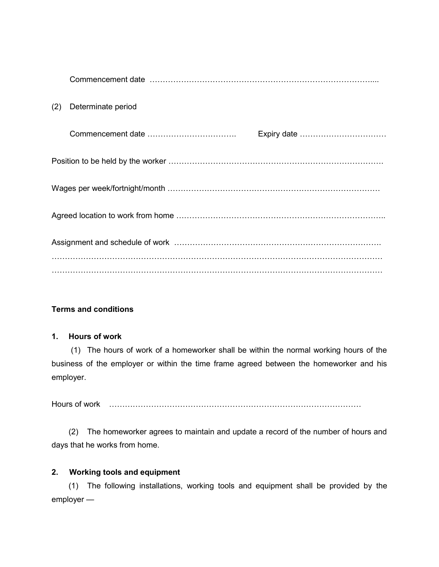| (2) | Determinate period |  |  |
|-----|--------------------|--|--|
|     |                    |  |  |
|     |                    |  |  |
|     |                    |  |  |
|     |                    |  |  |
|     |                    |  |  |
|     |                    |  |  |

# **Terms and conditions**

# **1. Hours of work**

(1) The hours of work of a homeworker shall be within the normal working hours of the business of the employer or within the time frame agreed between the homeworker and his employer.

Hours of work ……………………………………………………………………………………

(2) The homeworker agrees to maintain and update a record of the number of hours and days that he works from home.

# **2. Working tools and equipment**

(1) The following installations, working tools and equipment shall be provided by the employer —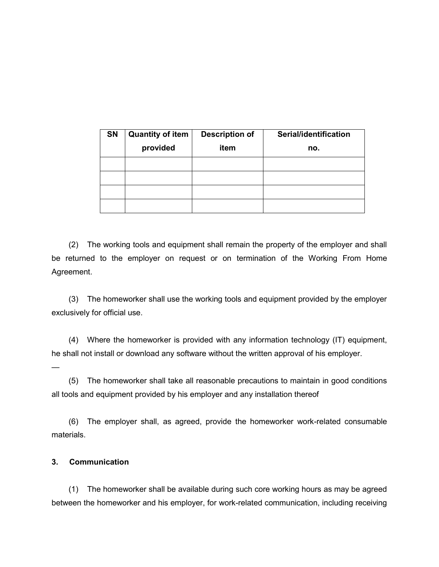| <b>SN</b> | <b>Quantity of item</b><br>provided | <b>Description of</b><br>item | Serial/identification<br>no. |
|-----------|-------------------------------------|-------------------------------|------------------------------|
|           |                                     |                               |                              |
|           |                                     |                               |                              |
|           |                                     |                               |                              |
|           |                                     |                               |                              |

(2) The working tools and equipment shall remain the property of the employer and shall be returned to the employer on request or on termination of the Working From Home Agreement.

(3) The homeworker shall use the working tools and equipment provided by the employer exclusively for official use.

(4) Where the homeworker is provided with any information technology (IT) equipment, he shall not install or download any software without the written approval of his employer.

(5) The homeworker shall take all reasonable precautions to maintain in good conditions all tools and equipment provided by his employer and any installation thereof

(6) The employer shall, as agreed, provide the homeworker work-related consumable materials.

# **3. Communication**

—

(1) The homeworker shall be available during such core working hours as may be agreed between the homeworker and his employer, for work-related communication, including receiving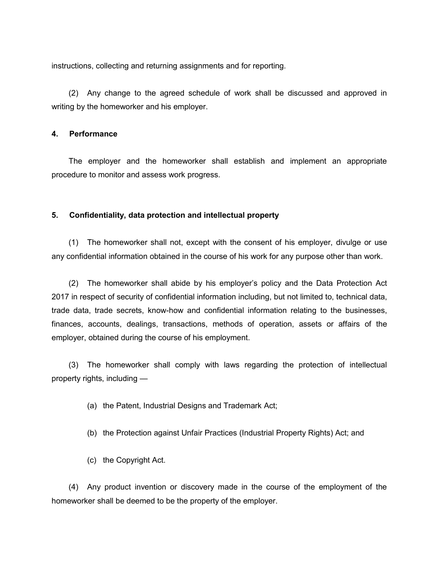instructions, collecting and returning assignments and for reporting.

(2) Any change to the agreed schedule of work shall be discussed and approved in writing by the homeworker and his employer.

#### **4. Performance**

The employer and the homeworker shall establish and implement an appropriate procedure to monitor and assess work progress.

#### **5. Confidentiality, data protection and intellectual property**

(1) The homeworker shall not, except with the consent of his employer, divulge or use any confidential information obtained in the course of his work for any purpose other than work.

(2) The homeworker shall abide by his employer's policy and the Data Protection Act 2017 in respect of security of confidential information including, but not limited to, technical data, trade data, trade secrets, know-how and confidential information relating to the businesses, finances, accounts, dealings, transactions, methods of operation, assets or affairs of the employer, obtained during the course of his employment.

(3) The homeworker shall comply with laws regarding the protection of intellectual property rights, including —

- (a) the Patent, Industrial Designs and Trademark Act;
- (b) the Protection against Unfair Practices (Industrial Property Rights) Act; and
- (c) the Copyright Act.

(4) Any product invention or discovery made in the course of the employment of the homeworker shall be deemed to be the property of the employer.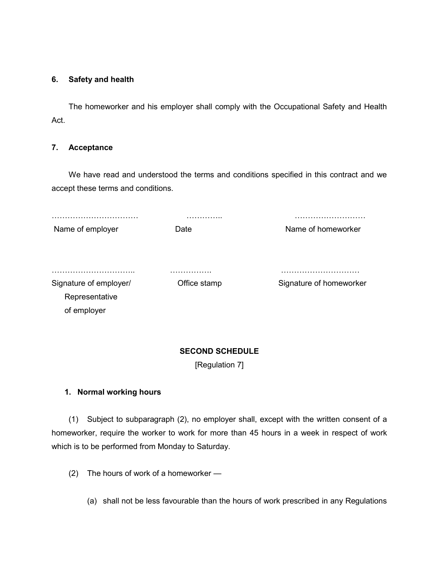### **6. Safety and health**

The homeworker and his employer shall comply with the Occupational Safety and Health Act.

### **7. Acceptance**

We have read and understood the terms and conditions specified in this contract and we accept these terms and conditions.

|                               | .                 | .                            |
|-------------------------------|-------------------|------------------------------|
| Name of employer              | Date              | Name of homeworker           |
| Signature of employer/        | .<br>Office stamp | .<br>Signature of homeworker |
| Representative<br>of employer |                   |                              |

# **SECOND SCHEDULE**

[Regulation 7]

# **1. Normal working hours**

(1) Subject to subparagraph (2), no employer shall, except with the written consent of a homeworker, require the worker to work for more than 45 hours in a week in respect of work which is to be performed from Monday to Saturday.

(2) The hours of work of a homeworker —

(a) shall not be less favourable than the hours of work prescribed in any Regulations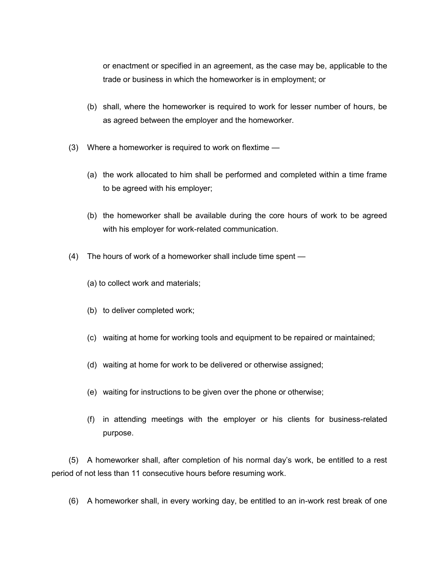or enactment or specified in an agreement, as the case may be, applicable to the trade or business in which the homeworker is in employment; or

- (b) shall, where the homeworker is required to work for lesser number of hours, be as agreed between the employer and the homeworker.
- (3) Where a homeworker is required to work on flextime
	- (a) the work allocated to him shall be performed and completed within a time frame to be agreed with his employer;
	- (b) the homeworker shall be available during the core hours of work to be agreed with his employer for work-related communication.
- (4) The hours of work of a homeworker shall include time spent
	- (a) to collect work and materials;
	- (b) to deliver completed work;
	- (c) waiting at home for working tools and equipment to be repaired or maintained;
	- (d) waiting at home for work to be delivered or otherwise assigned;
	- (e) waiting for instructions to be given over the phone or otherwise;
	- (f) in attending meetings with the employer or his clients for business-related purpose.

(5) A homeworker shall, after completion of his normal day's work, be entitled to a rest period of not less than 11 consecutive hours before resuming work.

(6) A homeworker shall, in every working day, be entitled to an in-work rest break of one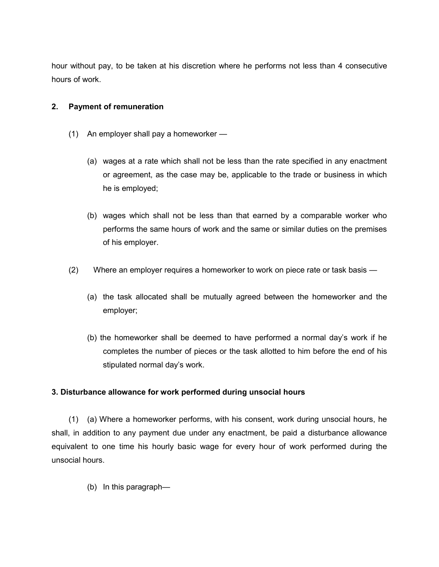hour without pay, to be taken at his discretion where he performs not less than 4 consecutive hours of work.

# **2. Payment of remuneration**

- (1) An employer shall pay a homeworker
	- (a) wages at a rate which shall not be less than the rate specified in any enactment or agreement, as the case may be, applicable to the trade or business in which he is employed;
	- (b) wages which shall not be less than that earned by a comparable worker who performs the same hours of work and the same or similar duties on the premises of his employer.
- (2) Where an employer requires a homeworker to work on piece rate or task basis
	- (a) the task allocated shall be mutually agreed between the homeworker and the employer;
	- (b) the homeworker shall be deemed to have performed a normal day's work if he completes the number of pieces or the task allotted to him before the end of his stipulated normal day's work.

# **3. Disturbance allowance for work performed during unsocial hours**

(1) (a) Where a homeworker performs, with his consent, work during unsocial hours, he shall, in addition to any payment due under any enactment, be paid a disturbance allowance equivalent to one time his hourly basic wage for every hour of work performed during the unsocial hours.

(b) In this paragraph—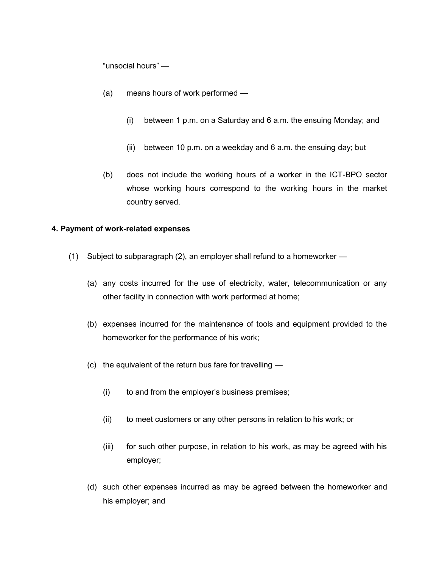"unsocial hours" —

- (a) means hours of work performed
	- (i) between 1 p.m. on a Saturday and 6 a.m. the ensuing Monday; and
	- (ii) between 10 p.m. on a weekday and 6 a.m. the ensuing day; but
- (b) does not include the working hours of a worker in the ICT-BPO sector whose working hours correspond to the working hours in the market country served.

# **4. Payment of work-related expenses**

- (1) Subject to subparagraph (2), an employer shall refund to a homeworker
	- (a) any costs incurred for the use of electricity, water, telecommunication or any other facility in connection with work performed at home;
	- (b) expenses incurred for the maintenance of tools and equipment provided to the homeworker for the performance of his work;
	- (c) the equivalent of the return bus fare for travelling
		- (i) to and from the employer's business premises;
		- (ii) to meet customers or any other persons in relation to his work; or
		- (iii) for such other purpose, in relation to his work, as may be agreed with his employer;
	- (d) such other expenses incurred as may be agreed between the homeworker and his employer; and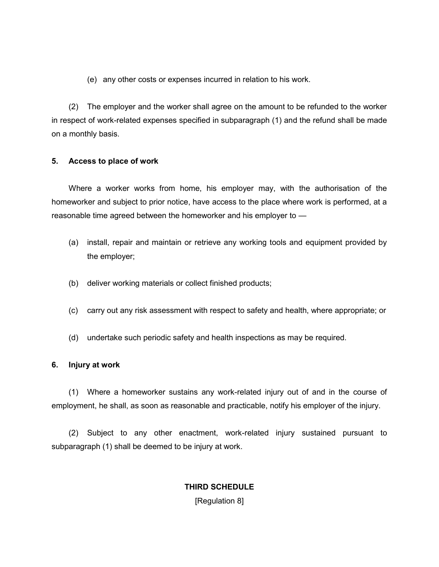(e) any other costs or expenses incurred in relation to his work.

(2) The employer and the worker shall agree on the amount to be refunded to the worker in respect of work-related expenses specified in subparagraph (1) and the refund shall be made on a monthly basis.

# **5. Access to place of work**

Where a worker works from home, his employer may, with the authorisation of the homeworker and subject to prior notice, have access to the place where work is performed, at a reasonable time agreed between the homeworker and his employer to —

- (a) install, repair and maintain or retrieve any working tools and equipment provided by the employer;
- (b) deliver working materials or collect finished products;
- (c) carry out any risk assessment with respect to safety and health, where appropriate; or
- (d) undertake such periodic safety and health inspections as may be required.

#### **6. Injury at work**

(1) Where a homeworker sustains any work-related injury out of and in the course of employment, he shall, as soon as reasonable and practicable, notify his employer of the injury.

(2) Subject to any other enactment, work-related injury sustained pursuant to subparagraph (1) shall be deemed to be injury at work.

# **THIRD SCHEDULE** [Regulation 8]